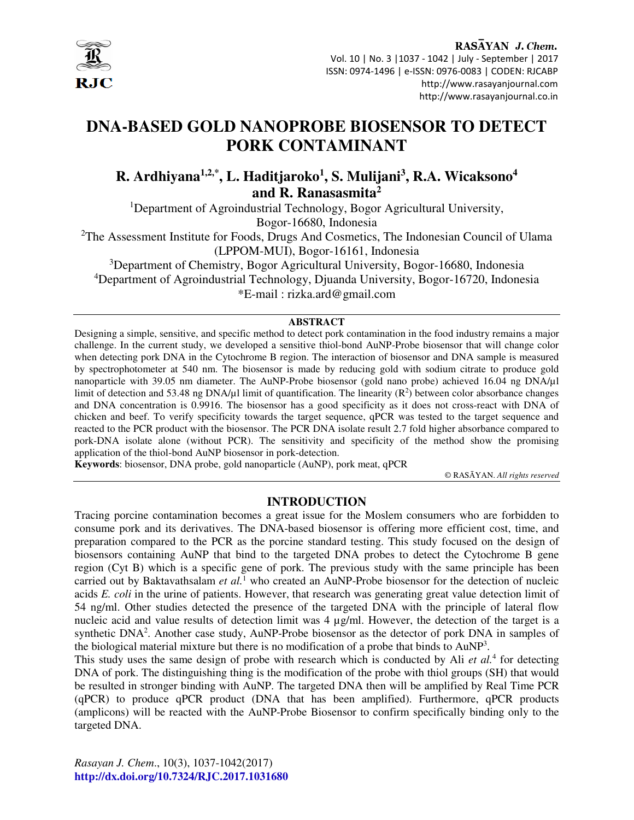

## RASAYAN J. Chem. Vol. 10 | No. 3 |1037 - 1042 | July - September | 2017 ISSN: 0974-1496 | e-ISSN: 0976-0083 | CODEN: RJCABP http://www.rasayanjournal.com http://www.rasayanjournal.co.in

# **DNA-BASED GOLD NANOPROBE BIOSENSOR TO DETECT PORK CONTAMINANT**

## **R. Ardhiyana1,2,\*, L. Haditjaroko<sup>1</sup> , S. Mulijani<sup>3</sup> , R.A. Wicaksono<sup>4</sup> and R. Ranasasmita<sup>2</sup>**

<sup>1</sup>Department of Agroindustrial Technology, Bogor Agricultural University,

Bogor-16680, Indonesia

<sup>2</sup>The Assessment Institute for Foods, Drugs And Cosmetics, The Indonesian Council of Ulama (LPPOM-MUI), Bogor-16161, Indonesia

<sup>3</sup>Department of Chemistry, Bogor Agricultural University, Bogor-16680, Indonesia <sup>4</sup>Department of Agroindustrial Technology, Djuanda University, Bogor-16720, Indonesia \*E-mail : rizka.ard@gmail.com

## **ABSTRACT**

Designing a simple, sensitive, and specific method to detect pork contamination in the food industry remains a major challenge. In the current study, we developed a sensitive thiol-bond AuNP-Probe biosensor that will change color when detecting pork DNA in the Cytochrome B region. The interaction of biosensor and DNA sample is measured by spectrophotometer at 540 nm. The biosensor is made by reducing gold with sodium citrate to produce gold nanoparticle with 39.05 nm diameter. The AuNP-Probe biosensor (gold nano probe) achieved 16.04 ng DNA/µl limit of detection and 53.48 ng DNA/ $\mu$ l limit of quantification. The linearity ( $\mathbb{R}^2$ ) between color absorbance changes and DNA concentration is 0.9916. The biosensor has a good specificity as it does not cross-react with DNA of chicken and beef. To verify specificity towards the target sequence, qPCR was tested to the target sequence and reacted to the PCR product with the biosensor. The PCR DNA isolate result 2.7 fold higher absorbance compared to pork-DNA isolate alone (without PCR). The sensitivity and specificity of the method show the promising application of the thiol-bond AuNP biosensor in pork-detection.

**Keywords**: biosensor, DNA probe, gold nanoparticle (AuNP), pork meat, qPCR

© RASĀYAN. *All rights reserved*

## **INTRODUCTION**

Tracing porcine contamination becomes a great issue for the Moslem consumers who are forbidden to consume pork and its derivatives. The DNA-based biosensor is offering more efficient cost, time, and preparation compared to the PCR as the porcine standard testing. This study focused on the design of biosensors containing AuNP that bind to the targeted DNA probes to detect the Cytochrome B gene region (Cyt B) which is a specific gene of pork. The previous study with the same principle has been carried out by Baktavathsalam et al.<sup>1</sup> who created an AuNP-Probe biosensor for the detection of nucleic acids *E. coli* in the urine of patients. However, that research was generating great value detection limit of 54 ng/ml. Other studies detected the presence of the targeted DNA with the principle of lateral flow nucleic acid and value results of detection limit was  $4 \mu g/ml$ . However, the detection of the target is a synthetic DNA<sup>2</sup>. Another case study, AuNP-Probe biosensor as the detector of pork DNA in samples of the biological material mixture but there is no modification of a probe that binds to  $AuNP<sup>3</sup>$ .

This study uses the same design of probe with research which is conducted by Ali *et al.*<sup>4</sup> for detecting DNA of pork. The distinguishing thing is the modification of the probe with thiol groups (SH) that would be resulted in stronger binding with AuNP. The targeted DNA then will be amplified by Real Time PCR (qPCR) to produce qPCR product (DNA that has been amplified). Furthermore, qPCR products (amplicons) will be reacted with the AuNP-Probe Biosensor to confirm specifically binding only to the targeted DNA.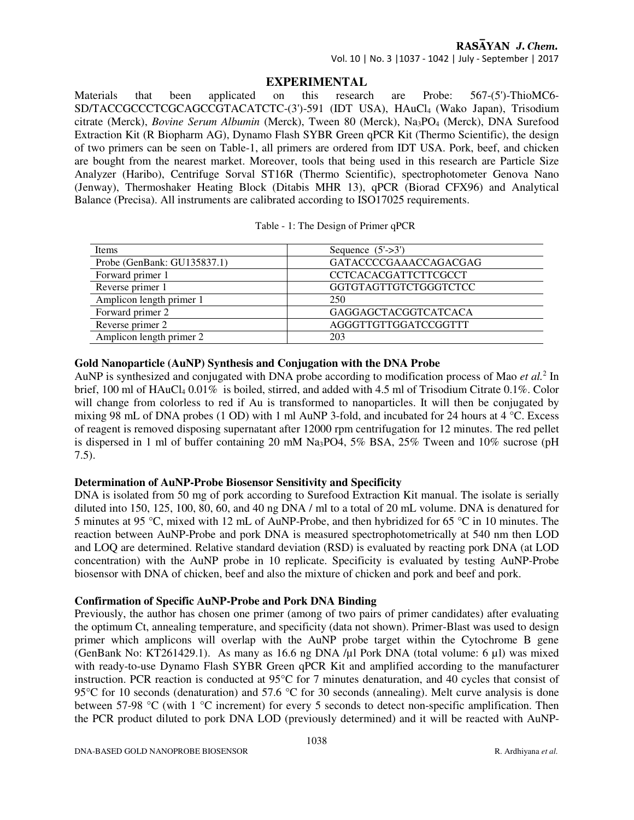## RASAYAN J. Chem.

Vol. 10 | No. 3 |1037 - 1042 | July - September | 2017

## **EXPERIMENTAL**

Materials that been applicated on this research are Probe: 567-(5')-ThioMC6- SD/TACCGCCCTCGCAGCCGTACATCTC-(3')-591 (IDT USA), HAuCl<sub>4</sub> (Wako Japan), Trisodium citrate (Merck), *Bovine Serum Albumin* (Merck), Tween 80 (Merck), Na3PO4 (Merck), DNA Surefood Extraction Kit (R Biopharm AG), Dynamo Flash SYBR Green qPCR Kit (Thermo Scientific), the design of two primers can be seen on Table-1, all primers are ordered from IDT USA. Pork, beef, and chicken are bought from the nearest market. Moreover, tools that being used in this research are Particle Size Analyzer (Haribo), Centrifuge Sorval ST16R (Thermo Scientific), spectrophotometer Genova Nano (Jenway), Thermoshaker Heating Block (Ditabis MHR 13), qPCR (Biorad CFX96) and Analytical Balance (Precisa). All instruments are calibrated according to ISO17025 requirements.

| Items                          | Sequence $(5'-3')$          |  |
|--------------------------------|-----------------------------|--|
| Probe (GenBank: $GU135837.1$ ) | GATACCCCGAAACCAGACGAG       |  |
| Forward primer 1               | <b>CCTCACACGATTCTTCGCCT</b> |  |
| Reverse primer 1               | GGTGTAGTTGTCTGGGTCTCC       |  |
| Amplicon length primer 1       | 250                         |  |
| Forward primer 2               | <b>GAGGAGCTACGGTCATCACA</b> |  |
| Reverse primer 2               | AGGGTTGTTGGATCCGGTTT        |  |
| Amplicon length primer 2       | 203                         |  |

|  |  |  |  | Table - 1: The Design of Primer qPCR |  |
|--|--|--|--|--------------------------------------|--|
|--|--|--|--|--------------------------------------|--|

## **Gold Nanoparticle (AuNP) Synthesis and Conjugation with the DNA Probe**

AuNP is synthesized and conjugated with DNA probe according to modification process of Mao *et al.*<sup>2</sup> In brief, 100 ml of HAuCl<sub>4</sub> 0.01% is boiled, stirred, and added with 4.5 ml of Trisodium Citrate 0.1%. Color will change from colorless to red if Au is transformed to nanoparticles. It will then be conjugated by mixing 98 mL of DNA probes (1 OD) with 1 ml AuNP 3-fold, and incubated for 24 hours at 4 °C. Excess of reagent is removed disposing supernatant after 12000 rpm centrifugation for 12 minutes. The red pellet is dispersed in 1 ml of buffer containing 20 mM Na3PO4, 5% BSA, 25% Tween and 10% sucrose (pH 7.5).

## **Determination of AuNP-Probe Biosensor Sensitivity and Specificity**

DNA is isolated from 50 mg of pork according to Surefood Extraction Kit manual. The isolate is serially diluted into 150, 125, 100, 80, 60, and 40 ng DNA / ml to a total of 20 mL volume. DNA is denatured for 5 minutes at 95 °C, mixed with 12 mL of AuNP-Probe, and then hybridized for 65 °C in 10 minutes. The reaction between AuNP-Probe and pork DNA is measured spectrophotometrically at 540 nm then LOD and LOQ are determined. Relative standard deviation (RSD) is evaluated by reacting pork DNA (at LOD concentration) with the AuNP probe in 10 replicate. Specificity is evaluated by testing AuNP-Probe biosensor with DNA of chicken, beef and also the mixture of chicken and pork and beef and pork.

## **Confirmation of Specific AuNP-Probe and Pork DNA Binding**

Previously, the author has chosen one primer (among of two pairs of primer candidates) after evaluating the optimum Ct, annealing temperature, and specificity (data not shown). Primer-Blast was used to design primer which amplicons will overlap with the AuNP probe target within the Cytochrome B gene (GenBank No: KT261429.1). As many as 16.6 ng DNA / $\mu$ l Pork DNA (total volume: 6  $\mu$ l) was mixed with ready-to-use Dynamo Flash SYBR Green qPCR Kit and amplified according to the manufacturer instruction. PCR reaction is conducted at 95°C for 7 minutes denaturation, and 40 cycles that consist of 95°C for 10 seconds (denaturation) and 57.6 °C for 30 seconds (annealing). Melt curve analysis is done between 57-98 °C (with 1 °C increment) for every 5 seconds to detect non-specific amplification. Then the PCR product diluted to pork DNA LOD (previously determined) and it will be reacted with AuNP-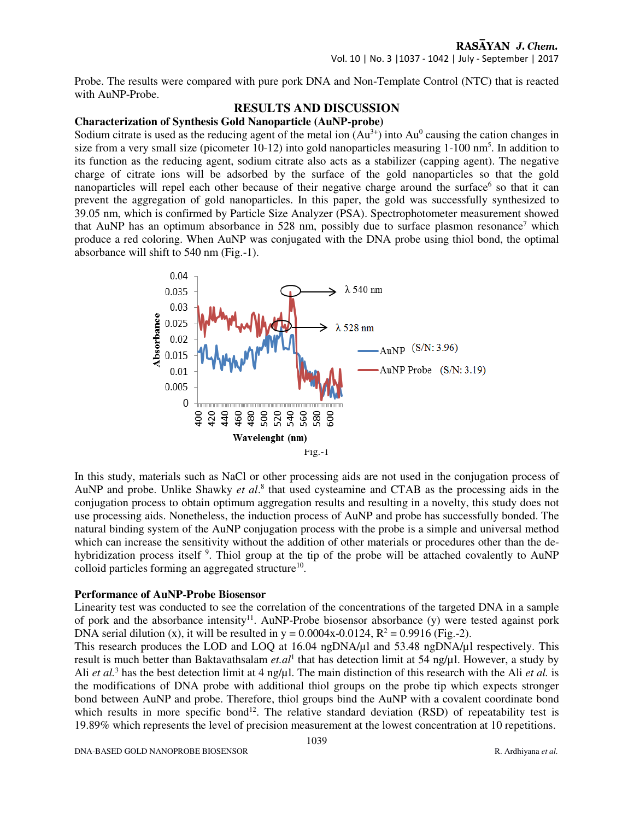## RASAYAN J. Chem. Vol. 10 | No. 3 |1037 - 1042 | July - September | 2017

Probe. The results were compared with pure pork DNA and Non-Template Control (NTC) that is reacted with AuNP-Probe.

## **RESULTS AND DISCUSSION**

## **Characterization of Synthesis Gold Nanoparticle (AuNP-probe)**

Sodium citrate is used as the reducing agent of the metal ion  $(Au<sup>3+</sup>)$  into  $Au<sup>0</sup>$  causing the cation changes in size from a very small size (picometer 10-12) into gold nanoparticles measuring 1-100 nm<sup>5</sup>. In addition to its function as the reducing agent, sodium citrate also acts as a stabilizer (capping agent). The negative charge of citrate ions will be adsorbed by the surface of the gold nanoparticles so that the gold nanoparticles will repel each other because of their negative charge around the surface<sup>6</sup> so that it can prevent the aggregation of gold nanoparticles. In this paper, the gold was successfully synthesized to 39.05 nm, which is confirmed by Particle Size Analyzer (PSA). Spectrophotometer measurement showed that AuNP has an optimum absorbance in 528 nm, possibly due to surface plasmon resonance<sup>7</sup> which produce a red coloring. When AuNP was conjugated with the DNA probe using thiol bond, the optimal absorbance will shift to 540 nm (Fig.-1).



In this study, materials such as NaCl or other processing aids are not used in the conjugation process of AuNP and probe. Unlike Shawky et al.<sup>8</sup> that used cysteamine and CTAB as the processing aids in the conjugation process to obtain optimum aggregation results and resulting in a novelty, this study does not use processing aids. Nonetheless, the induction process of AuNP and probe has successfully bonded. The natural binding system of the AuNP conjugation process with the probe is a simple and universal method which can increase the sensitivity without the addition of other materials or procedures other than the dehybridization process itself <sup>9</sup>. Thiol group at the tip of the probe will be attached covalently to AuNP colloid particles forming an aggregated structure<sup>10</sup>.

## **Performance of AuNP-Probe Biosensor**

Linearity test was conducted to see the correlation of the concentrations of the targeted DNA in a sample of pork and the absorbance intensity<sup>11</sup>. AuNP-Probe biosensor absorbance (y) were tested against pork DNA serial dilution (x), it will be resulted in  $y = 0.0004x - 0.0124$ ,  $R^2 = 0.9916$  (Fig.-2).

This research produces the LOD and LOQ at 16.04 ngDNA/µl and 53.48 ngDNA/µl respectively. This result is much better than Baktavathsalam *et.al*<sup>1</sup> that has detection limit at 54 ng/µl. However, a study by Ali *et al.*<sup>3</sup> has the best detection limit at 4 ng/µl. The main distinction of this research with the Ali *et al.* is the modifications of DNA probe with additional thiol groups on the probe tip which expects stronger bond between AuNP and probe. Therefore, thiol groups bind the AuNP with a covalent coordinate bond which results in more specific bond<sup>12</sup>. The relative standard deviation (RSD) of repeatability test is 19.89% which represents the level of precision measurement at the lowest concentration at 10 repetitions.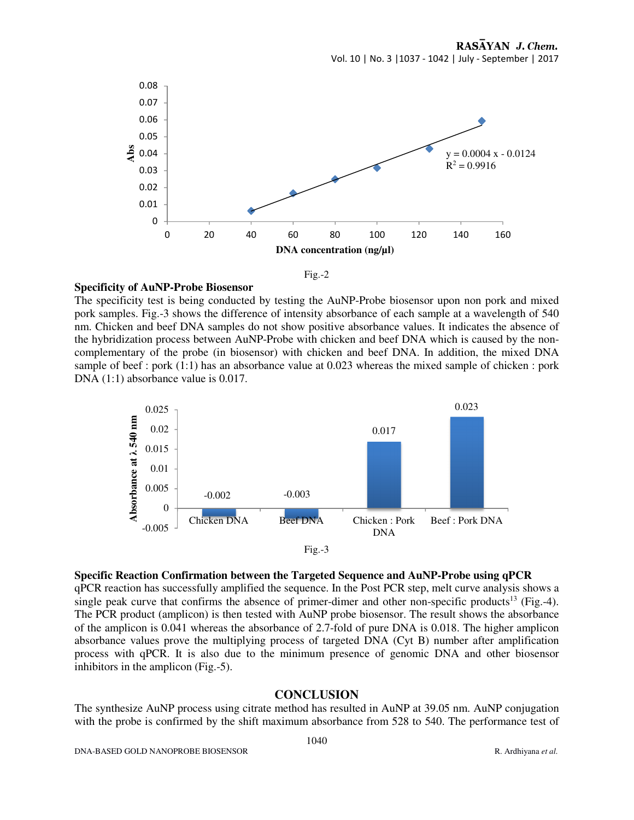

Fig.-2

#### **Specificity of AuNP-Probe Biosensor**

The specificity test is being conducted by testing the AuNP-Probe biosensor upon non pork and mixed pork samples. Fig.-3 shows the difference of intensity absorbance of each sample at a wavelength of 540 nm. Chicken and beef DNA samples do not show positive absorbance values. It indicates the absence of the hybridization process between AuNP-Probe with chicken and beef DNA which is caused by the noncomplementary of the probe (in biosensor) with chicken and beef DNA. In addition, the mixed DNA sample of beef : pork (1:1) has an absorbance value at 0.023 whereas the mixed sample of chicken : pork DNA  $(1:1)$  absorbance value is 0.017.



**Specific Reaction Confirmation between the Targeted Sequence and AuNP-Probe using qPCR**  qPCR reaction has successfully amplified the sequence. In the Post PCR step, melt curve analysis shows a single peak curve that confirms the absence of primer-dimer and other non-specific products<sup>13</sup> (Fig.-4). The PCR product (amplicon) is then tested with AuNP probe biosensor. The result shows the absorbance of the amplicon is 0.041 whereas the absorbance of 2.7-fold of pure DNA is 0.018. The higher amplicon absorbance values prove the multiplying process of targeted DNA (Cyt B) number after amplification process with qPCR. It is also due to the minimum presence of genomic DNA and other biosensor inhibitors in the amplicon (Fig.-5).

## **CONCLUSION**

The synthesize AuNP process using citrate method has resulted in AuNP at 39.05 nm. AuNP conjugation with the probe is confirmed by the shift maximum absorbance from 528 to 540. The performance test of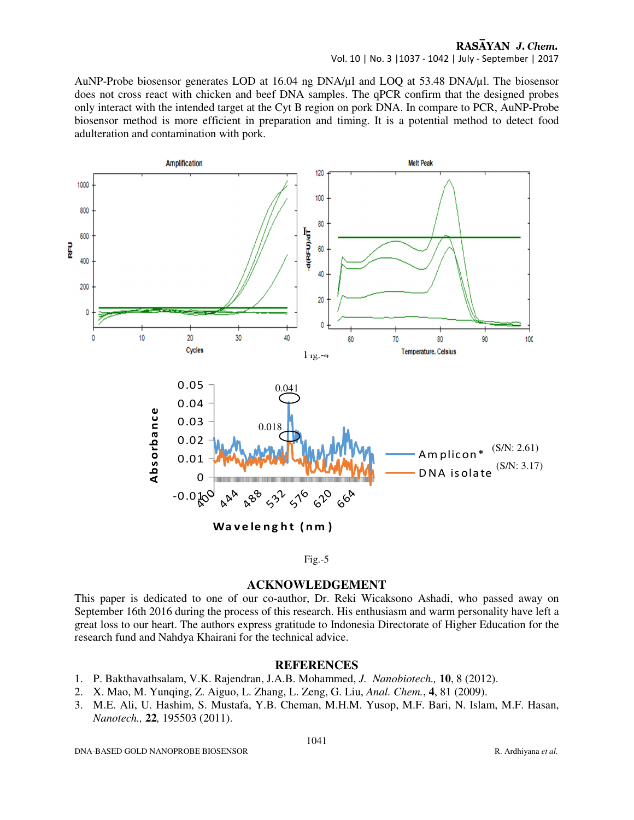## RASAYAN J. Chem.

Vol. 10 | No. 3 |1037 - 1042 | July - September | 2017

AuNP-Probe biosensor generates LOD at 16.04 ng DNA/µl and LOQ at 53.48 DNA/µl. The biosensor does not cross react with chicken and beef DNA samples. The qPCR confirm that the designed probes only interact with the intended target at the Cyt B region on pork DNA. In compare to PCR, AuNP-Probe biosensor method is more efficient in preparation and timing. It is a potential method to detect food adulteration and contamination with pork.



## Fig.-5

## **ACKNOWLEDGEMENT**

This paper is dedicated to one of our co-author, Dr. Reki Wicaksono Ashadi, who passed away on September 16th 2016 during the process of this research. His enthusiasm and warm personality have left a great loss to our heart. The authors express gratitude to Indonesia Directorate of Higher Education for the research fund and Nahdya Khairani for the technical advice.

## **REFERENCES**

- 1. P. Bakthavathsalam, V.K. Rajendran, J.A.B. Mohammed, *J. Nanobiotech.,* **10**, 8 (2012).
- 2. X. Mao, M. Yunqing, Z. Aiguo, L. Zhang, L. Zeng, G. Liu, *Anal. Chem.*, **4**, 81 (2009).
- 3. M.E. Ali, U. Hashim, S. Mustafa, Y.B. Cheman, M.H.M. Yusop, M.F. Bari, N. Islam, M.F. Hasan, *Nanotech.,* **22***,* 195503 (2011).